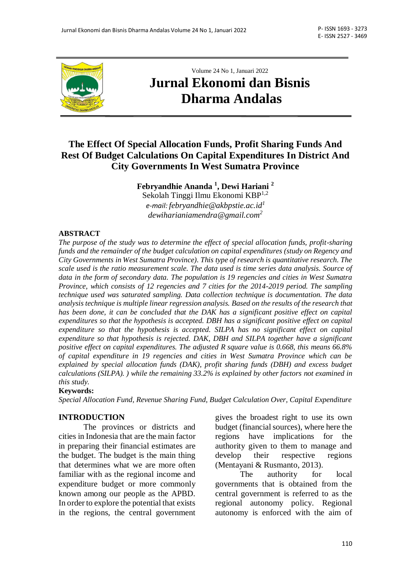

# Volume 24 No 1, Januari 2022 **Jurnal Ekonomi dan Bisnis Dharma Andalas**

## **The Effect Of Special Allocation Funds, Profit Sharing Funds And Rest Of Budget Calculations On Capital Expenditures In District And City Governments In West Sumatra Province**

**Febryandhie Ananda <sup>1</sup> , Dewi Hariani <sup>2</sup>** Sekolah Tinggi Ilmu Ekonomi KBP1,2 *e-mail: [febryandhie@akbpstie.ac.id](mailto:febryandhie@akbpstie.ac.id)<sup>1</sup> [dewiharianiamendra@gmail.com](mailto:dewiharianiamendra@gmail.com)<sup>2</sup>*

#### **ABSTRACT**

*The purpose of the study was to determine the effect of special allocation funds, profit-sharing funds and the remainder of the budget calculation on capital expenditures (study on Regency and City Governments in West Sumatra Province). This type of research is quantitative research. The scale used is the ratio measurement scale. The data used is time series data analysis. Source of data in the form of secondary data. The population is 19 regencies and cities in West Sumatra Province, which consists of 12 regencies and 7 cities for the 2014-2019 period. The sampling technique used was saturated sampling. Data collection technique is documentation. The data analysis technique is multiple linear regression analysis. Based on the results of the research that has been done, it can be concluded that the DAK has a significant positive effect on capital expenditures so that the hypothesis is accepted. DBH has a significant positive effect on capital expenditure so that the hypothesis is accepted. SILPA has no significant effect on capital expenditure so that hypothesis is rejected. DAK, DBH and SILPA together have a significant positive effect on capital expenditures. The adjusted R square value is 0.668, this means 66.8% of capital expenditure in 19 regencies and cities in West Sumatra Province which can be explained by special allocation funds (DAK), profit sharing funds (DBH) and excess budget calculations (SILPA). ) while the remaining 33.2% is explained by other factors not examined in this study.*

#### **Keywords:**

*Special Allocation Fund, Revenue Sharing Fund, Budget Calculation Over, Capital Expenditure*

#### **INTRODUCTION**

The provinces or districts and cities in Indonesia that are the main factor in preparing their financial estimates are the budget. The budget is the main thing that determines what we are more often familiar with as the regional income and expenditure budget or more commonly known among our people as the APBD. In order to explore the potential that exists in the regions, the central government gives the broadest right to use its own budget (financial sources), where here the regions have implications for the authority given to them to manage and develop their respective regions (Mentayani & Rusmanto, 2013).

The authority for local governments that is obtained from the central government is referred to as the regional autonomy policy. Regional autonomy is enforced with the aim of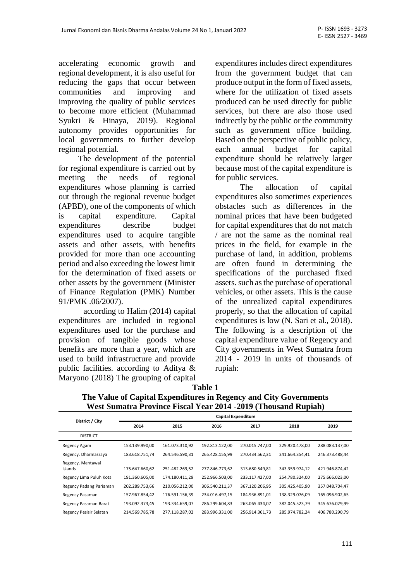accelerating economic growth and regional development, it is also useful for reducing the gaps that occur between communities and improving and improving the quality of public services to become more efficient (Muhammad Syukri & Hinaya, 2019). Regional autonomy provides opportunities for local governments to further develop regional potential.

The development of the potential for regional expenditure is carried out by meeting the needs of regional expenditures whose planning is carried out through the regional revenue budget (APBD), one of the components of which is capital expenditure. Capital expenditures describe budget expenditures used to acquire tangible assets and other assets, with benefits provided for more than one accounting period and also exceeding the lowest limit for the determination of fixed assets or other assets by the government (Minister of Finance Regulation (PMK) Number 91/PMK .06/2007).

according to Halim (2014) capital expenditures are included in regional expenditures used for the purchase and provision of tangible goods whose benefits are more than a year, which are used to build infrastructure and provide public facilities. according to Aditya & Maryono (2018) The grouping of capital expenditures includes direct expenditures from the government budget that can produce output in the form of fixed assets, where for the utilization of fixed assets produced can be used directly for public services, but there are also those used indirectly by the public or the community such as government office building. Based on the perspective of public policy, each annual budget for capital expenditure should be relatively larger because most of the capital expenditure is for public services.

The allocation of capital expenditures also sometimes experiences obstacles such as differences in the nominal prices that have been budgeted for capital expenditures that do not match / are not the same as the nominal real prices in the field, for example in the purchase of land, in addition, problems are often found in determining the specifications of the purchased fixed assets. such as the purchase of operational vehicles, or other assets. This is the cause of the unrealized capital expenditures properly, so that the allocation of capital expenditures is low (N. Sari et al., 2018). The following is a description of the capital expenditure value of Regency and City governments in West Sumatra from 2014 - 2019 in units of thousands of rupiah:

| able |  |
|------|--|
|------|--|

| <b>Capital Expenditure</b> |                |                |                |                |                |  |
|----------------------------|----------------|----------------|----------------|----------------|----------------|--|
| 2014                       | 2015           | 2016           | 2017           | 2018           | 2019           |  |
|                            |                |                |                |                |                |  |
| 153.139.990,00             | 161.073.310,92 | 192.813.122,00 | 270.015.747,00 | 229.920.478,00 | 288.083.137,00 |  |
| 183.618.751,74             | 264.546.590,31 | 265.428.155,99 | 270.434.562,31 | 241.664.354,41 | 246.373.488,44 |  |
| 175.647.660,62             | 251.482.269,52 | 277.846.773,62 | 313.680.549,81 | 343.359.974,12 | 421.946.874,42 |  |
| 191.360.605,00             | 174.180.411,29 | 252.966.503,00 | 233.117.427,00 | 254.780.324.00 | 275.666.023,00 |  |
| 202.289.753,66             | 210.056.212,00 | 306.540.211,37 | 367.120.206,95 | 305.425.405,90 | 357.048.704,47 |  |
| 157.967.854,42             | 176.591.156,39 | 234.016.497,15 | 184.936.891,01 | 138.329.076,09 | 165.096.902,65 |  |
| 193.092.373,45             | 193.334.659,07 | 286.299.604,83 | 263.065.434,07 | 382.045.523,79 | 345.676.029,99 |  |
| 214.569.785,78             | 277.118.287,02 | 283.996.331,00 | 256.914.361,73 | 285.974.782.24 | 406.780.290.79 |  |
|                            |                |                |                |                |                |  |

**Table 1 The Value of Capital Expenditures in Regency and City Governments West Sumatra Province Fiscal Year 2014 -2019 (Thousand Rupiah)**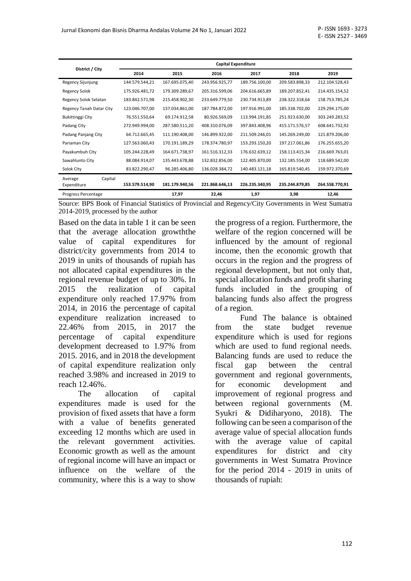|                                   | <b>Capital Expenditure</b> |                |                |                |                |                |  |
|-----------------------------------|----------------------------|----------------|----------------|----------------|----------------|----------------|--|
| District / City                   | 2014                       | 2015           | 2016           | 2017           | 2018           | 2019           |  |
| Regency Sijunjung                 | 144.579.544,21             | 167.695.075,40 | 243.956.925,77 | 189.756.100,00 | 209.583.898,33 | 212.104.528,43 |  |
| <b>Regency Solok</b>              | 175.926.481,72             | 179.309.289,67 | 205.316.599,06 | 204.616.665,89 | 189.207.852,41 | 214.435.154,52 |  |
| Regency Solok Selatan             | 183.842.571,98             | 215.458.902,30 | 233.649.779,50 | 230.734.913,89 | 238.322.318,64 | 158.753.785,24 |  |
| Regency Tanah Datar City          | 123.046.707,00             | 137.034.861,00 | 187.784.872,00 | 197.916.991,00 | 185.338.702,00 | 229.294.175,00 |  |
| Bukittinggi City                  | 76.551.550,64              | 69.174.912,58  | 80.926.569,09  | 113.994.191,85 | 251.923.630,00 | 303.249.283,52 |  |
| Padang City                       | 272.949.994,00             | 287.580.511,20 | 408.310.076,09 | 397.843.408,96 | 415.171.576,57 | 608.641.732,92 |  |
| Padang Panjang City               | 64.712.665,45              | 111.190.408,00 | 146.899.922,00 | 211.509.246,01 | 145.269.249,00 | 121.879.206,00 |  |
| Pariaman City                     | 127.563.060,43             | 170.191.189,29 | 178.374.780,97 | 153.293.150,20 | 197.217.061,86 | 176.255.655,20 |  |
| Payakumbuh City                   | 105.244.228,49             | 164.671.738,97 | 161.516.312,33 | 176.632.639,12 | 158.113.415,34 | 216.669.763,01 |  |
| Sawahlunto City                   | 88.084.914,07              | 135.443.678,88 | 132.832.856,00 | 122.405.870,00 | 132.185.554,00 | 118.689.542,00 |  |
| Solok City                        | 83.822.290,47              | 96.285.406,80  | 136.028.384,72 | 140.483.121,18 | 165.819.540,45 | 159.972.370,69 |  |
| Capital<br>Average<br>Expenditure | 153.579.514,90             | 181.179.940,56 | 221.868.646,13 | 226.235.340,95 | 235.244.879,85 | 264.558.770,91 |  |
| Progress Percentage               |                            | 17,97          | 22,46          | 1,97           | 3,98           | 12,46          |  |

Source: BPS Book of Financial Statistics of Provincial and Regency/City Governments in West Sumatra 2014-2019, processed by the author

Based on the data in table 1 it can be seen that the average allocation growththe value of capital expenditures for district/city governments from 2014 to 2019 in units of thousands of rupiah has not allocated capital expenditures in the regional revenue budget of up to 30%. In 2015 the realization of capital expenditure only reached 17.97% from 2014, in 2016 the percentage of capital expenditure realization increased to 22.46% from 2015, in 2017 the percentage of capital expenditure development decreased to 1.97% from 2015. 2016, and in 2018 the development of capital expenditure realization only reached 3.98% and increased in 2019 to reach 12.46%.

The allocation of capital expenditures made is used for the provision of fixed assets that have a form with a value of benefits generated exceeding 12 months which are used in the relevant government activities. Economic growth as well as the amount of regional income will have an impact or influence on the welfare of the community, where this is a way to show

the progress of a region. Furthermore, the welfare of the region concerned will be influenced by the amount of regional income, then the economic growth that occurs in the region and the progress of regional development, but not only that, special allocation funds and profit sharing funds included in the grouping of balancing funds also affect the progress of a region.

Fund The balance is obtained from the state budget revenue expenditure which is used for regions which are used to fund regional needs. Balancing funds are used to reduce the fiscal gap between the central government and regional governments, for economic development and improvement of regional progress and between regional governments (M. Syukri & Didiharyono, 2018). The following can be seen a comparison of the average value of special allocation funds with the average value of capital expenditures for district and city governments in West Sumatra Province for the period 2014 - 2019 in units of thousands of rupiah: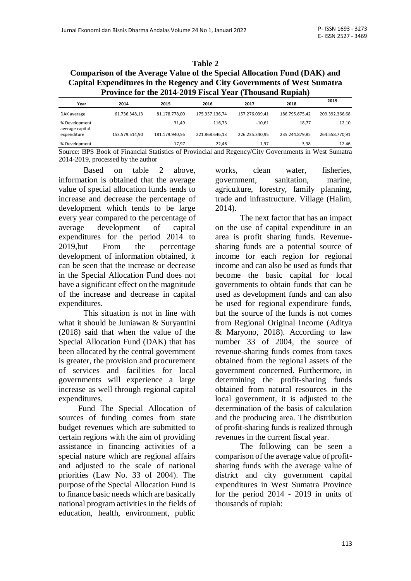### **Table 2 Comparison of the Average Value of the Special Allocation Fund (DAK) and Capital Expenditures in the Regency and City Governments of West Sumatra Province for the 2014-2019 Fiscal Year (Thousand Rupiah)**

| Year                             | 2014           | 2015           | 2016           | 2017           | 2018           | 2019           |
|----------------------------------|----------------|----------------|----------------|----------------|----------------|----------------|
| DAK average                      | 61.736.348.13  | 81.178.778.00  | 175.937.136.74 | 157.276.039.41 | 186.795.675.42 | 209.392.366.68 |
| % Development<br>average capital |                | 31.49          | 116.73         | $-10.61$       | 18.77          | 12,10          |
| expenditure                      | 153.579.514,90 | 181.179.940,56 | 221.868.646.13 | 226.235.340.95 | 235.244.879.85 | 264.558.770,91 |
| % Development                    |                | 17.97          | 22.46          | 1.97           | 3.98           | 12.46          |

Source: BPS Book of Financial Statistics of Provincial and Regency/City Governments in West Sumatra 2014-2019, processed by the author

Based on table 2 above, information is obtained that the average value of special allocation funds tends to increase and decrease the percentage of development which tends to be large every year compared to the percentage of average development of capital expenditures for the period 2014 to 2019,but From the percentage development of information obtained, it can be seen that the increase or decrease in the Special Allocation Fund does not have a significant effect on the magnitude of the increase and decrease in capital expenditures.

This situation is not in line with what it should be Juniawan & Suryantini (2018) said that when the value of the Special Allocation Fund (DAK) that has been allocated by the central government is greater, the provision and procurement of services and facilities for local governments will experience a large increase as well through regional capital expenditures.

Fund The Special Allocation of sources of funding comes from state budget revenues which are submitted to certain regions with the aim of providing assistance in financing activities of a special nature which are regional affairs and adjusted to the scale of national priorities (Law No. 33 of 2004). The purpose of the Special Allocation Fund is to finance basic needs which are basically national program activities in the fields of education, health, environment, public works, clean water, fisheries, government, sanitation, marine, agriculture, forestry, family planning, trade and infrastructure. Village (Halim, 2014).

The next factor that has an impact on the use of capital expenditure in an area is profit sharing funds. Revenuesharing funds are a potential source of income for each region for regional income and can also be used as funds that become the basic capital for local governments to obtain funds that can be used as development funds and can also be used for regional expenditure funds, but the source of the funds is not comes from Regional Original Income (Aditya & Maryono, 2018). According to law number 33 of 2004, the source of revenue-sharing funds comes from taxes obtained from the regional assets of the government concerned. Furthermore, in determining the profit-sharing funds obtained from natural resources in the local government, it is adjusted to the determination of the basis of calculation and the producing area. The distribution of profit-sharing funds is realized through revenues in the current fiscal year.

The following can be seen a comparison of the average value of profitsharing funds with the average value of district and city government capital expenditures in West Sumatra Province for the period 2014 - 2019 in units of thousands of rupiah: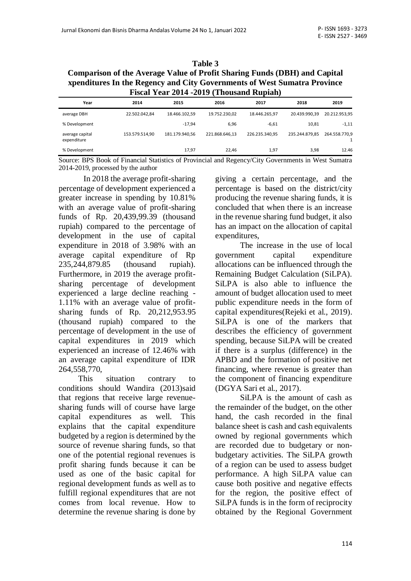### **Table 3 Comparison of the Average Value of Profit Sharing Funds (DBH) and Capital xpenditures In the Regency and City Governments of West Sumatra Province Fiscal Year 2014 -2019 (Thousand Rupiah)**

| Year                           | 2014           | 2015           | 2016           | 2017           | 2018           | 2019          |
|--------------------------------|----------------|----------------|----------------|----------------|----------------|---------------|
| average DBH                    | 22.502.042,84  | 18.466.102.59  | 19.752.230.02  | 18.446.265.97  | 20.439.990,39  | 20.212.953.95 |
| % Development                  |                | $-17.94$       | 6.96           | $-6.61$        | 10.81          | $-1,11$       |
| average capital<br>expenditure | 153.579.514,90 | 181.179.940,56 | 221.868.646,13 | 226.235.340.95 | 235.244.879.85 | 264.558.770.9 |
| % Development                  |                | 17.97          | 22.46          | 1.97           | 3,98           | 12.46         |

Source: BPS Book of Financial Statistics of Provincial and Regency/City Governments in West Sumatra 2014-2019, processed by the author

In 2018 the average profit-sharing percentage of development experienced a greater increase in spending by 10.81% with an average value of profit-sharing funds of Rp. 20,439,99.39 (thousand rupiah) compared to the percentage of development in the use of capital expenditure in 2018 of 3.98% with an average capital expenditure of Rp 235,244,879.85 (thousand rupiah). Furthermore, in 2019 the average profitsharing percentage of development experienced a large decline reaching - 1.11% with an average value of profitsharing funds of Rp. 20,212,953.95 (thousand rupiah) compared to the percentage of development in the use of capital expenditures in 2019 which experienced an increase of 12.46% with an average capital expenditure of IDR 264,558,770,

This situation contrary to conditions should Wandira (2013)said that regions that receive large revenuesharing funds will of course have large capital expenditures as well. This explains that the capital expenditure budgeted by a region is determined by the source of revenue sharing funds, so that one of the potential regional revenues is profit sharing funds because it can be used as one of the basic capital for regional development funds as well as to fulfill regional expenditures that are not comes from local revenue. How to determine the revenue sharing is done by giving a certain percentage, and the percentage is based on the district/city producing the revenue sharing funds, it is concluded that when there is an increase in the revenue sharing fund budget, it also has an impact on the allocation of capital expenditures,

The increase in the use of local government capital expenditure allocations can be influenced through the Remaining Budget Calculation (SiLPA). SiLPA is also able to influence the amount of budget allocation used to meet public expenditure needs in the form of capital expenditures(Rejeki et al., 2019). SiLPA is one of the markers that describes the efficiency of government spending, because SiLPA will be created if there is a surplus (difference) in the APBD and the formation of positive net financing, where revenue is greater than the component of financing expenditure (DGYA Sari et al., 2017).

SiLPA is the amount of cash as the remainder of the budget, on the other hand, the cash recorded in the final balance sheet is cash and cash equivalents owned by regional governments which are recorded due to budgetary or nonbudgetary activities. The SiLPA growth of a region can be used to assess budget performance. A high SiLPA value can cause both positive and negative effects for the region, the positive effect of SiLPA funds is in the form of reciprocity obtained by the Regional Government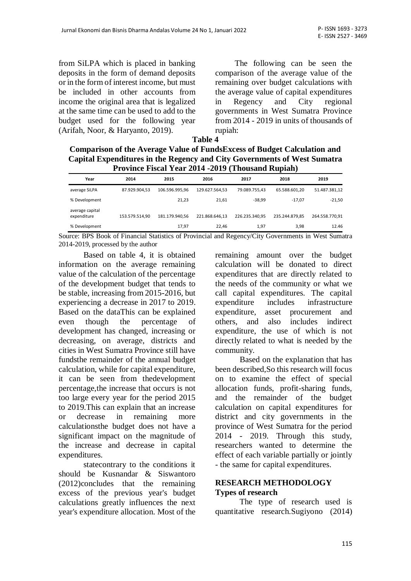from SiLPA which is placed in banking deposits in the form of demand deposits or in the form of interest income, but must be included in other accounts from income the original area that is legalized at the same time can be used to add to the budget used for the following year (Arifah, Noor, & Haryanto, 2019).

The following can be seen the comparison of the average value of the remaining over budget calculations with the average value of capital expenditures in Regency and City regional governments in West Sumatra Province from 2014 - 2019 in units of thousands of rupiah:

| <b>Comparison of the Average Value of FundsExcess of Budget Calculation and</b> |
|---------------------------------------------------------------------------------|
| Capital Expenditures in the Regency and City Governments of West Sumatra        |
| <b>Province Fiscal Year 2014 -2019 (Thousand Rupiah)</b>                        |

|                                | ----<br>-----------<br>------ |                |                |                |                |                |  |  |
|--------------------------------|-------------------------------|----------------|----------------|----------------|----------------|----------------|--|--|
| Year                           | 2014                          | 2015           | 2016           | 2017           | 2018           | 2019           |  |  |
| average SiLPA                  | 87.929.904,53                 | 106.596.995.96 | 129.627.564.53 | 79.089.755.43  | 65.588.601.20  | 51.487.381,12  |  |  |
| % Development                  |                               | 21,23          | 21.61          | $-38.99$       | $-17.07$       | $-21.50$       |  |  |
| average capital<br>expenditure | 153.579.514,90                | 181.179.940.56 | 221.868.646.13 | 226.235.340.95 | 235.244.879.85 | 264.558.770.91 |  |  |
| % Development                  |                               | 17,97          | 22.46          | 1,97           | 3,98           | 12.46          |  |  |

Source: BPS Book of Financial Statistics of Provincial and Regency/City Governments in West Sumatra 2014-2019, processed by the author

Based on table 4, it is obtained information on the average remaining value of the calculation of the percentage of the development budget that tends to be stable, increasing from 2015-2016, but experiencing a decrease in 2017 to 2019. Based on the dataThis can be explained even though the percentage of development has changed, increasing or decreasing, on average, districts and cities in West Sumatra Province still have fundsthe remainder of the annual budget calculation, while for capital expenditure, it can be seen from thedevelopment percentage,the increase that occurs is not too large every year for the period 2015 to 2019.This can explain that an increase or decrease in remaining more calculationsthe budget does not have a significant impact on the magnitude of the increase and decrease in capital expenditures.

statecontrary to the conditions it should be Kusnandar & Siswantoro (2012)concludes that the remaining excess of the previous year's budget calculations greatly influences the next year's expenditure allocation. Most of the remaining amount over the budget calculation will be donated to direct expenditures that are directly related to the needs of the community or what we call capital expenditures. The capital expenditure includes infrastructure expenditure, asset procurement and others, and also includes indirect expenditure, the use of which is not directly related to what is needed by the community.

Based on the explanation that has been described,So this research will focus on to examine the effect of special allocation funds, profit-sharing funds, and the remainder of the budget calculation on capital expenditures for district and city governments in the province of West Sumatra for the period 2014 - 2019. Through this study, researchers wanted to determine the effect of each variable partially or jointly - the same for capital expenditures.

#### **RESEARCH METHODOLOGY Types of research**

The type of research used is quantitative research.Sugiyono (2014)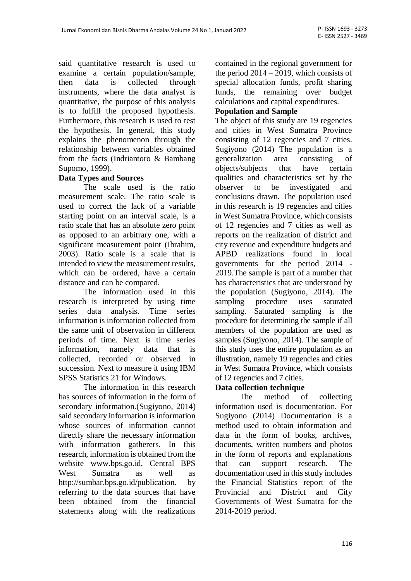said quantitative research is used to examine a certain population/sample, then data is collected through instruments, where the data analyst is quantitative, the purpose of this analysis is to fulfill the proposed hypothesis. Furthermore, this research is used to test the hypothesis. In general, this study explains the phenomenon through the relationship between variables obtained from the facts (Indriantoro & Bambang Supomo, 1999).

### **Data Types and Sources**

The scale used is the ratio measurement scale. The ratio scale is used to correct the lack of a variable starting point on an interval scale, is a ratio scale that has an absolute zero point as opposed to an arbitrary one, with a significant measurement point (Ibrahim, 2003). Ratio scale is a scale that is intended to view the measurement results, which can be ordered, have a certain distance and can be compared.

The information used in this research is interpreted by using time series data analysis. Time series information is information collected from the same unit of observation in different periods of time. Next is time series information, namely data that is collected, recorded or observed in succession. Next to measure it using IBM SPSS Statistics 21 for Windows.

The information in this research has sources of information in the form of secondary information.(Sugiyono, 2014) said secondary information is information whose sources of information cannot directly share the necessary information with information gatherers. In this research, information is obtained from the website [www.bps.go.id,](http://www.bps.go.id/) Central BPS West Sumatra as well as [http://sumbar.bps.go.id/publication.](http://sumbar.bps.go.id/publication) by referring to the data sources that have been obtained from the financial statements along with the realizations contained in the regional government for the period  $2014 - 2019$ , which consists of special allocation funds, profit sharing funds, the remaining over budget calculations and capital expenditures.

## **Population and Sample**

The object of this study are 19 regencies and cities in West Sumatra Province consisting of 12 regencies and 7 cities. Sugiyono (2014) The population is a generalization area consisting of objects/subjects that have certain qualities and characteristics set by the observer to be investigated and conclusions drawn. The population used in this research is 19 regencies and cities in West Sumatra Province, which consists of 12 regencies and 7 cities as well as reports on the realization of district and city revenue and expenditure budgets and APBD realizations found in local governments for the period 2014 - 2019.The sample is part of a number that has characteristics that are understood by the population (Sugiyono, 2014). The sampling procedure uses saturated sampling. Saturated sampling is the procedure for determining the sample if all members of the population are used as samples (Sugiyono, 2014). The sample of this study uses the entire population as an illustration, namely 19 regencies and cities in West Sumatra Province, which consists of 12 regencies and 7 cities.

#### **Data collection technique**

The method of collecting information used is documentation. For Sugiyono (2014) Documentation is a method used to obtain information and data in the form of books, archives, documents, written numbers and photos in the form of reports and explanations that can support research. The documentation used in this study includes the Financial Statistics report of the Provincial and District and City Governments of West Sumatra for the 2014-2019 period.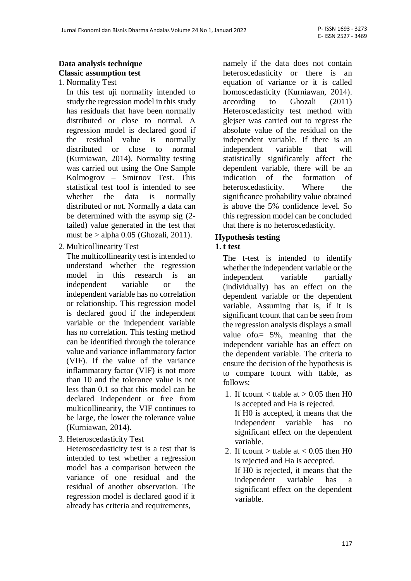## **Data analysis technique Classic assumption test**

1. Normality Test

In this test uji normality intended to study the regression model in this study has residuals that have been normally distributed or close to normal. A regression model is declared good if the residual value is normally distributed or close to normal (Kurniawan, 2014). Normality testing was carried out using the One Sample Kolmogrov – Smirnov Test. This statistical test tool is intended to see whether the data is normally distributed or not. Normally a data can be determined with the asymp sig (2 tailed) value generated in the test that must be  $>$  alpha 0.05 (Ghozali, 2011).

2. Multicollinearity Test

The multicollinearity test is intended to understand whether the regression model in this research is an independent variable or the independent variable has no correlation or relationship. This regression model is declared good if the independent variable or the independent variable has no correlation. This testing method can be identified through the tolerance value and variance inflammatory factor (VIF). If the value of the variance inflammatory factor (VIF) is not more than 10 and the tolerance value is not less than 0.1 so that this model can be declared independent or free from multicollinearity, the VIF continues to be large, the lower the tolerance value (Kurniawan, 2014).

3. Heteroscedasticity Test

Heteroscedasticity test is a test that is intended to test whether a regression model has a comparison between the variance of one residual and the residual of another observation. The regression model is declared good if it already has criteria and requirements,

namely if the data does not contain heteroscedasticity or there is an equation of variance or it is called homoscedasticity (Kurniawan, 2014). according to Ghozali (2011) Heteroscedasticity test method with glejser was carried out to regress the absolute value of the residual on the independent variable. If there is an independent variable that will statistically significantly affect the dependent variable, there will be an indication of the formation of heteroscedasticity. Where the significance probability value obtained is above the 5% confidence level. So this regression model can be concluded that there is no heteroscedasticity.

### **Hypothesis testing**

### **1. t test**

The t-test is intended to identify whether the independent variable or the independent variable partially (individually) has an effect on the dependent variable or the dependent variable. Assuming that is, if it is significant tcount that can be seen from the regression analysis displays a small value of  $\alpha$  = 5%, meaning that the independent variable has an effect on the dependent variable. The criteria to ensure the decision of the hypothesis is to compare tcount with ttable, as follows:

- 1. If tcount  $\lt$  ttable at  $> 0.05$  then H0 is accepted and Ha is rejected. If H0 is accepted, it means that the independent variable has no significant effect on the dependent variable.
- 2. If tcount  $>$  ttable at  $< 0.05$  then H0 is rejected and Ha is accepted. If H0 is rejected, it means that the independent variable has a significant effect on the dependent variable.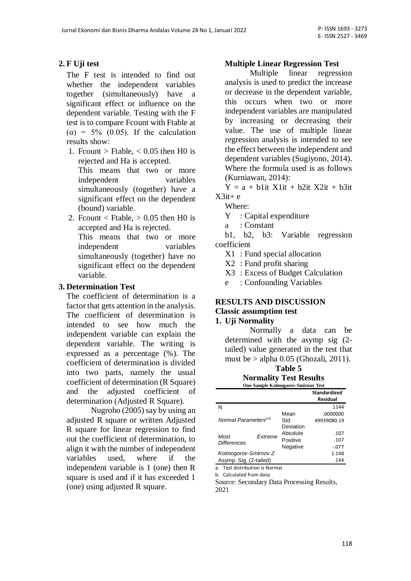## **2. F Uji test**

The F test is intended to find out whether the independent variables together (simultaneously) have a significant effect or influence on the dependent variable. Testing with the F test is to compare Fcount with Ftable at ( $\alpha$ ) = 5% (0.05). If the calculation results show:

1. Frount > Ftable,  $\lt$  0.05 then H0 is rejected and Ha is accepted.

This means that two or more independent variables simultaneously (together) have a significant effect on the dependent (bound) variable.

2. Frount < Ftable,  $> 0.05$  then H0 is accepted and Ha is rejected. This means that two or more independent variables simultaneously (together) have no significant effect on the dependent variable.

### **3. Determination Test**

The coefficient of determination is a factor that gets attention in the analysis. The coefficient of determination is intended to see how much the independent variable can explain the dependent variable. The writing is expressed as a percentage (%). The coefficient of determination is divided into two parts, namely the usual coefficient of determination (R Square) and the adjusted coefficient of determination (Adjusted R Square).

Nugroho (2005) say by using an adjusted R square or written Adjusted R square for linear regression to find out the coefficient of determination, to align it with the number of independent variables used, where if the independent variable is 1 (one) then R square is used and if it has exceeded 1 (one) using adjusted R square.

### **Multiple Linear Regression Test**

Multiple linear regression analysis is used to predict the increase or decrease in the dependent variable, this occurs when two or more independent variables are manipulated by increasing or decreasing their value. The use of multiple linear regression analysis is intended to see the effect between the independent and dependent variables (Sugiyono, 2014). Where the formula used is as follows (Kurniawan, 2014):

 $Y = a + b1$  it  $X1$  it  $+ b2$  it  $X2$  it  $+ b3$  it  $X3it+e$ 

Where:

Y : Capital expenditure

a : Constant

b1, b2, b3: Variable regression coefficient

X1 : Fund special allocation

X2 : Fund profit sharing

X3 : Excess of Budget Calculation

e : Confounding Variables

#### **RESULTS AND DISCUSSION Classic assumption test**

#### **1. Uji Normality**

Normally a data can be determined with the asymp sig (2 tailed) value generated in the test that must be  $>$  alpha 0.05 (Ghozali, 2011).

### **Table 5**

#### **Normality Test Results One-Sample Kolmogorov-Smirnov Test**

|                                  |         |           | <b>Standardized</b><br>Residual |
|----------------------------------|---------|-----------|---------------------------------|
| N                                |         |           | 1144                            |
|                                  |         | Mean      | .0000000                        |
| Normal Parameters <sup>a,b</sup> |         | Std.      | 49939080.19                     |
|                                  |         | Deviation |                                 |
| Most                             | Extreme | Absolute  | .107                            |
| <b>Differences</b>               |         | Positive  | .107                            |
|                                  |         | Negative  | $-.077$                         |
| Kolmogorov-Smirnov Z             |         |           | 1.148                           |
| Asymp. Sig. (2-tailed)           |         |           | .144                            |

a. Test distribution is Normal

b. Calculated from data

Source: Secondary Data Processing Results, 2021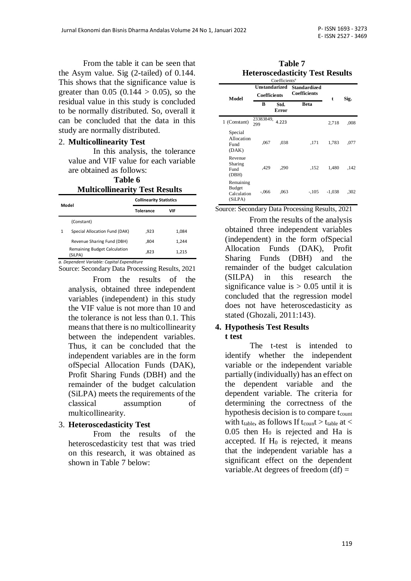From the table it can be seen that the Asym value. Sig (2-tailed) of 0.144. This shows that the significance value is greater than  $0.05$  (0.144  $> 0.05$ ), so the residual value in this study is concluded to be normally distributed. So, overall it can be concluded that the data in this study are normally distributed.

#### 2. **Multicollinearity Test**

In this analysis, the tolerance value and VIF value for each variable are obtained as follows:

**Table 6**

## **Multicollinearity Test Results**

| Model |                                            | <b>Collinearity Statistics</b> |       |  |  |
|-------|--------------------------------------------|--------------------------------|-------|--|--|
|       |                                            | <b>Tolerance</b>               | VIF   |  |  |
|       | (Constant)                                 |                                |       |  |  |
| 1     | Special Allocation Fund (DAK)              | ,923                           | 1,084 |  |  |
|       | Revenue Sharing Fund (DBH)                 | .804                           | 1,244 |  |  |
|       | Remaining Budget Calculation<br>(SiLPA)    | ,823                           | 1,215 |  |  |
|       | a. Denendent Variable: Canital Expenditure |                                |       |  |  |

*a. Dependent Variable: Capital Expenditure*

Source: Secondary Data Processing Results, 2021

From the results of the analysis, obtained three independent variables (independent) in this study the VIF value is not more than 10 and the tolerance is not less than 0.1. This means that there is no multicollinearity between the independent variables. Thus, it can be concluded that the independent variables are in the form ofSpecial Allocation Funds (DAK), Profit Sharing Funds (DBH) and the remainder of the budget calculation (SiLPA) meets the requirements of the classical assumption of multicollinearity.

#### 3. **Heteroscedasticity Test**

From the results of the heteroscedasticity test that was tried on this research, it was obtained as shown in Table 7 below:

| Table 7                                |  |
|----------------------------------------|--|
| <b>Heteroscedasticity Test Results</b> |  |

| Coefficients <sup>a</sup>                            |                                      |               |                                            |          |      |  |  |
|------------------------------------------------------|--------------------------------------|---------------|--------------------------------------------|----------|------|--|--|
| Model                                                | Unstandarized<br><b>Coefficients</b> |               | <b>Standardized</b><br><b>Coefficients</b> | t        | Sig. |  |  |
|                                                      | B                                    | Std.<br>Error | <b>Beta</b>                                |          |      |  |  |
| 1 (Constant)                                         | 23383849,<br>299                     | 4.223         |                                            | 2,718    | .008 |  |  |
| Special<br>Allocation<br>Fund<br>(DAK)               | .067                                 | ,038          | ,171                                       | 1,783    | ,077 |  |  |
| Revenue<br>Sharing<br>Fund<br>(DBH)                  | ,429                                 | ,290          | ,152                                       | 1,480    | .142 |  |  |
| Remaining<br><b>Budget</b><br>Calculation<br>(SiLPA) | $-.066$                              | .063          | $-.105$                                    | $-1,038$ | .302 |  |  |

Source: Secondary Data Processing Results, 2021

From the results of the analysis obtained three independent variables (independent) in the form ofSpecial Allocation Funds (DAK), Profit Sharing Funds (DBH) and the remainder of the budget calculation (SILPA) in this research the significance value is  $> 0.05$  until it is concluded that the regression model does not have heteroscedasticity as stated (Ghozali, 2011:143).

## **4. Hypothesis Test Results**

**t test** 

The t-test is intended to identify whether the independent variable or the independent variable partially (individually) has an effect on the dependent variable and the dependent variable. The criteria for determining the correctness of the hypothesis decision is to compare  $t_{\text{count}}$ with t<sub>table</sub>, as follows If  $t_{\text{coun}}t > t_{\text{table}}$  at  $<$  $0.05$  then  $H_0$  is rejected and Ha is accepted. If  $H_0$  is rejected, it means that the independent variable has a significant effect on the dependent variable. At degrees of freedom  $(df) =$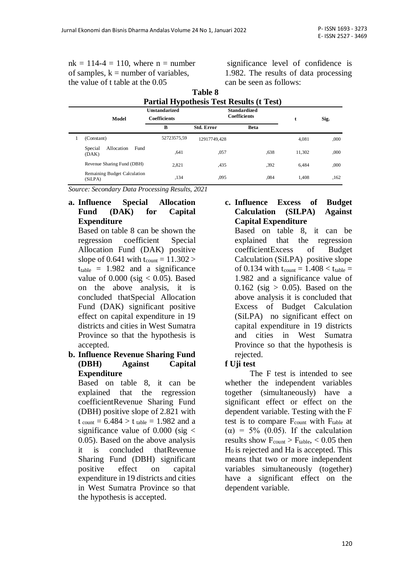$nk = 114-4 = 110$ , where  $n = number$ of samples,  $k =$  number of variables. the value of t table at the 0.05

significance level of confidence is 1.982. The results of data processing can be seen as follows:

|                                         | <b>Unstandarized</b>     | <b>Partial Hypothesis Test Results (t Test)</b><br><b>Standardized</b><br><b>Coefficients</b> |             |        |      |
|-----------------------------------------|--------------------------|-----------------------------------------------------------------------------------------------|-------------|--------|------|
| Model                                   | <b>Coefficients</b><br>В | <b>Std. Error</b>                                                                             | <b>Beta</b> | t      | Sig. |
| (Constant)                              | 52723575.59              | 12917749.428                                                                                  |             | 4.081  | ,000 |
| Allocation<br>Fund<br>Special<br>(DAK)  | .641                     | ,057                                                                                          | ,638        | 11.302 | ,000 |
| Revenue Sharing Fund (DBH)              | 2.821                    | ,435                                                                                          | ,392        | 6.484  | ,000 |
| Remaining Budget Calculation<br>(SiLPA) | ,134                     | ,095                                                                                          | ,084        | 1.408  | ,162 |

**Table 8**

*Source: Secondary Data Processing Results, 2021*

#### **a. Influence Special Allocation Fund (DAK) for Capital Expenditure**

Based on table 8 can be shown the regression coefficient Special Allocation Fund (DAK) positive slope of 0.641 with  $t_{\text{count}} = 11.302 >$  $t_{table}$  = 1.982 and a significance value of  $0.000$  (sig  $< 0.05$ ). Based on the above analysis, it is concluded thatSpecial Allocation Fund (DAK) significant positive effect on capital expenditure in 19 districts and cities in West Sumatra Province so that the hypothesis is accepted.

#### **b. Influence Revenue Sharing Fund (DBH) Against Capital Expenditure**

Based on table 8, it can be explained that the regression coefficientRevenue Sharing Fund (DBH) positive slope of 2.821 with  $t_{\text{count}} = 6.484 > t_{\text{table}} = 1.982$  and a significance value of  $0.000$  (sig  $\lt$ 0.05). Based on the above analysis it is concluded thatRevenue Sharing Fund (DBH) significant positive effect on capital expenditure in 19 districts and cities in West Sumatra Province so that the hypothesis is accepted.

#### **c. Influence Excess of Budget Calculation (SILPA) Against Capital Expenditure**

Based on table 8, it can be explained that the regression coefficientExcess of Budget Calculation (SiLPA) positive slope of 0.134 with  $t_{\text{count}} = 1.408 < t_{\text{table}} =$ 1.982 and a significance value of  $0.162$  (sig  $> 0.05$ ). Based on the above analysis it is concluded that Excess of Budget Calculation (SiLPA) no significant effect on capital expenditure in 19 districts and cities in West Sumatra Province so that the hypothesis is rejected.

#### **f Uji test**

The F test is intended to see whether the independent variables together (simultaneously) have a significant effect or effect on the dependent variable. Testing with the F test is to compare  $F_{\text{count}}$  with  $F_{\text{table}}$  at ( $\alpha$ ) = 5% (0.05). If the calculation results show  $F_{\text{count}} > F_{\text{table}} < 0.05$  then  $H<sub>0</sub>$  is rejected and Ha is accepted. This means that two or more independent variables simultaneously (together) have a significant effect on the dependent variable.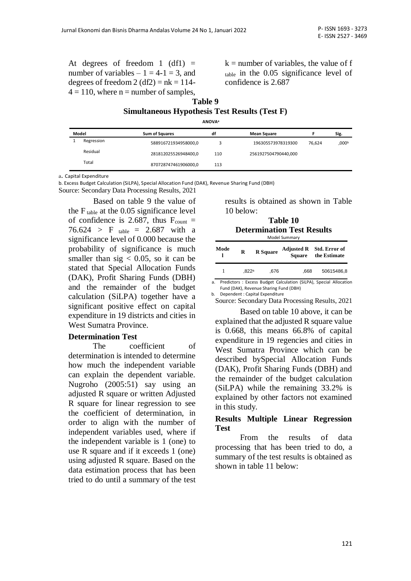At degrees of freedom 1 (df1)  $=$ number of variables  $-1 = 4-1 = 3$ , and degrees of freedom  $2 (df2) = nk = 114$ - $4 = 110$ , where n = number of samples,  $k =$  number of variables, the value of f table in the 0.05 significance level of confidence is 2.687

## **Table 9 Simultaneous Hypothesis Test Results (Test F)**

**ANOVA<sup>a</sup>**

| Model |            | Sum of Squares       | df  | <b>Mean Square</b>   |        | Sig.  |
|-------|------------|----------------------|-----|----------------------|--------|-------|
|       | Regression | 588916721934958000,0 |     | 196305573978319300   | 76.624 | ,000b |
|       | Residual   | 281812025526948400,0 | 110 | 2561927504790440,000 |        |       |
|       | Total      | 870728747461906000,0 | 113 |                      |        |       |

a. Capital Expenditure

b. Excess Budget Calculation (SiLPA), Special Allocation Fund (DAK), Revenue Sharing Fund (DBH)

Source: Secondary Data Processing Results, 2021

Based on table 9 the value of the  $F_{table}$  at the 0.05 significance level of confidence is 2.687, thus  $F_{\text{count}} =$ 76.624 > F  $_{table}$  = 2.687 with a significance level of 0.000 because the probability of significance is much smaller than sig  $< 0.05$ , so it can be stated that Special Allocation Funds (DAK), Profit Sharing Funds (DBH) and the remainder of the budget calculation (SiLPA) together have a significant positive effect on capital expenditure in 19 districts and cities in West Sumatra Province.

#### **Determination Test**

The coefficient of determination is intended to determine how much the independent variable can explain the dependent variable. Nugroho (2005:51) say using an adjusted R square or written Adjusted R square for linear regression to see the coefficient of determination, in order to align with the number of independent variables used, where if the independent variable is 1 (one) to use R square and if it exceeds 1 (one) using adjusted R square. Based on the data estimation process that has been tried to do until a summary of the test results is obtained as shown in Table 10 below:

| Table 10                          |  |  |  |  |
|-----------------------------------|--|--|--|--|
| <b>Determination Test Results</b> |  |  |  |  |
| $M = -1 - 1$ Constructions        |  |  |  |  |

| Model Summary |       |                 |               |                                                                      |  |  |
|---------------|-------|-----------------|---------------|----------------------------------------------------------------------|--|--|
| Mode          | R     | <b>R</b> Square | <b>Square</b> | Adjusted R Std. Error of<br>the Estimate                             |  |  |
|               | .822a | .676            | .668          | 50615486.8                                                           |  |  |
|               |       |                 |               | Bacolistans : Europe, Burdert Calculation (CitBA), Constal Allacatio |  |  |

a. Predictors : Excess Budget Calculation (SiLPA), Special Allocation Fund (DAK), Revenue Sharing Fund (DBH)

b. Dependent : Capital Expenditure

Source: Secondary Data Processing Results, 2021

Based on table 10 above, it can be explained that the adjusted R square value is 0.668, this means 66.8% of capital expenditure in 19 regencies and cities in West Sumatra Province which can be described bySpecial Allocation Funds (DAK), Profit Sharing Funds (DBH) and the remainder of the budget calculation (SiLPA) while the remaining 33.2% is explained by other factors not examined in this study.

#### **Results Multiple Linear Regression Test**

From the results of data processing that has been tried to do, a summary of the test results is obtained as shown in table 11 below: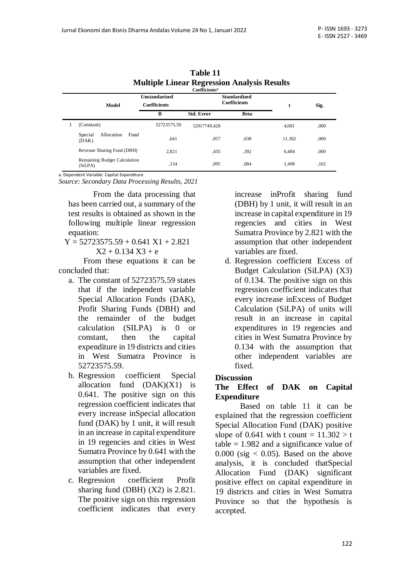|   | <b>Multiple Linear Regression Analysis Results</b><br>Coefficients <sup>a</sup> |                                             |                                            |             |        |      |  |
|---|---------------------------------------------------------------------------------|---------------------------------------------|--------------------------------------------|-------------|--------|------|--|
|   | Model                                                                           | <b>Unstandarized</b><br><b>Coefficients</b> | <b>Standardized</b><br><b>Coefficients</b> |             | t      | Sig. |  |
|   |                                                                                 | В                                           | <b>Std. Error</b>                          | <b>Beta</b> |        |      |  |
| 1 | (Constant)                                                                      | 52723575.59                                 | 12917749.428                               |             | 4.081  | ,000 |  |
|   | Allocation<br>Fund<br>Special<br>(DAK)                                          | .641                                        | ,057                                       | ,638        | 11.302 | ,000 |  |
|   | Revenue Sharing Fund (DBH)                                                      | 2.821                                       | ,435                                       | .392        | 6.484  | ,000 |  |
|   | Remaining Budget Calculation<br>(SiLPA)                                         | ,134                                        | ,095                                       | ,084        | 1.408  | ,162 |  |

**Table 11 Multiple Linear Regression Analysis Results**

a. Dependent Variable: Capital Expenditure

*Source: Secondary Data Processing Results, 2021*

From the data processing that has been carried out, a summary of the test results is obtained as shown in the following multiple linear regression equation:

 $Y = 52723575.59 + 0.641 X1 + 2.821$  $X2 + 0.134 X3 + e$ 

From these equations it can be concluded that:

- a. The constant of 52723575.59 states that if the independent variable Special Allocation Funds (DAK), Profit Sharing Funds (DBH) and the remainder of the budget calculation (SILPA) is 0 or constant, then the capital expenditure in 19 districts and cities in West Sumatra Province is 52723575.59.
- b. Regression coefficient Special allocation fund  $(DAK)(X1)$  is 0.641. The positive sign on this regression coefficient indicates that every increase inSpecial allocation fund (DAK) by 1 unit, it will result in an increase in capital expenditure in 19 regencies and cities in West Sumatra Province by 0.641 with the assumption that other independent variables are fixed.
- c. Regression coefficient Profit sharing fund (DBH) (X2) is 2.821. The positive sign on this regression coefficient indicates that every

increase inProfit sharing fund (DBH) by 1 unit, it will result in an increase in capital expenditure in 19 regencies and cities in West Sumatra Province by 2.821 with the assumption that other independent variables are fixed.

d. Regression coefficient Excess of Budget Calculation (SiLPA) (X3) of 0.134. The positive sign on this regression coefficient indicates that every increase inExcess of Budget Calculation (SiLPA) of units will result in an increase in capital expenditures in 19 regencies and cities in West Sumatra Province by 0.134 with the assumption that other independent variables are fixed.

#### **Discussion**

#### **The Effect of DAK on Capital Expenditure**

Based on table 11 it can be explained that the regression coefficient Special Allocation Fund (DAK) positive slope of 0.641 with t count =  $11.302 > t$ table  $= 1.982$  and a significance value of  $0.000$  (sig  $< 0.05$ ). Based on the above analysis, it is concluded thatSpecial Allocation Fund (DAK) significant positive effect on capital expenditure in 19 districts and cities in West Sumatra Province so that the hypothesis is accepted.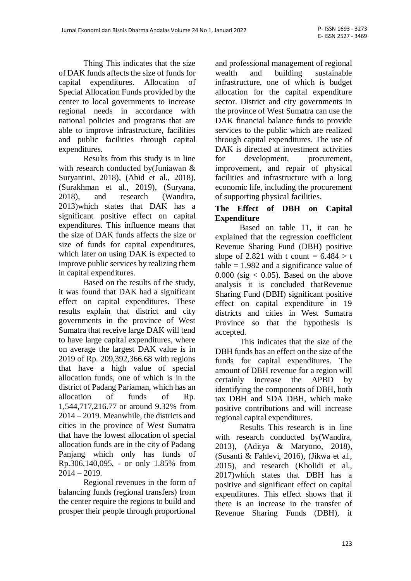Thing This indicates that the size of DAK funds affects the size of funds for capital expenditures. Allocation of Special Allocation Funds provided by the center to local governments to increase regional needs in accordance with national policies and programs that are able to improve infrastructure, facilities and public facilities through capital expenditures.

Results from this study is in line with research conducted by(Juniawan & Suryantini, 2018), (Abid et al., 2018), (Surakhman et al., 2019), (Suryana, 2018), and research (Wandira, 2013)which states that DAK has a significant positive effect on capital expenditures. This influence means that the size of DAK funds affects the size or size of funds for capital expenditures, which later on using DAK is expected to improve public services by realizing them in capital expenditures.

Based on the results of the study, it was found that DAK had a significant effect on capital expenditures. These results explain that district and city governments in the province of West Sumatra that receive large DAK will tend to have large capital expenditures, where on average the largest DAK value is in 2019 of Rp. 209,392,366.68 with regions that have a high value of special allocation funds, one of which is in the district of Padang Pariaman, which has an allocation of funds of Rp. 1,544,717,216.77 or around 9.32% from 2014 – 2019. Meanwhile, the districts and cities in the province of West Sumatra that have the lowest allocation of special allocation funds are in the city of Padang Panjang which only has funds of Rp.306,140,095, - or only 1.85% from  $2014 - 2019$ .

Regional revenues in the form of balancing funds (regional transfers) from the center require the regions to build and prosper their people through proportional

and professional management of regional wealth and building sustainable infrastructure, one of which is budget allocation for the capital expenditure sector. District and city governments in the province of West Sumatra can use the DAK financial balance funds to provide services to the public which are realized through capital expenditures. The use of DAK is directed at investment activities for development, procurement, improvement, and repair of physical facilities and infrastructure with a long economic life, including the procurement of supporting physical facilities.

### **The Effect of DBH on Capital Expenditure**

Based on table 11, it can be explained that the regression coefficient Revenue Sharing Fund (DBH) positive slope of 2.821 with t count =  $6.484 > t$ table  $= 1.982$  and a significance value of  $0.000$  (sig  $< 0.05$ ). Based on the above analysis it is concluded thatRevenue Sharing Fund (DBH) significant positive effect on capital expenditure in 19 districts and cities in West Sumatra Province so that the hypothesis is accepted.

This indicates that the size of the DBH funds has an effect on the size of the funds for capital expenditures. The amount of DBH revenue for a region will certainly increase the APBD by identifying the components of DBH, both tax DBH and SDA DBH, which make positive contributions and will increase regional capital expenditures.

Results This research is in line with research conducted by(Wandira, 2013), (Aditya & Maryono, 2018), (Susanti & Fahlevi, 2016), (Jikwa et al., 2015), and research (Kholidi et al., 2017)which states that DBH has a positive and significant effect on capital expenditures. This effect shows that if there is an increase in the transfer of Revenue Sharing Funds (DBH), it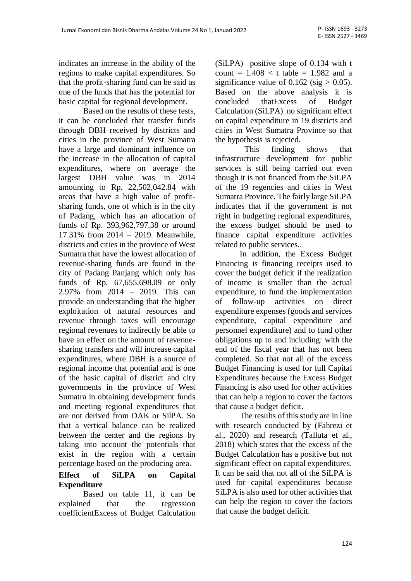indicates an increase in the ability of the regions to make capital expenditures. So that the profit-sharing fund can be said as one of the funds that has the potential for basic capital for regional development.

Based on the results of these tests, it can be concluded that transfer funds through DBH received by districts and cities in the province of West Sumatra have a large and dominant influence on the increase in the allocation of capital expenditures, where on average the largest DBH value was in 2014 amounting to Rp. 22,502,042.84 with areas that have a high value of profitsharing funds, one of which is in the city of Padang, which has an allocation of funds of Rp. 393,962,797.38 or around 17.31% from 2014 – 2019. Meanwhile, districts and cities in the province of West Sumatra that have the lowest allocation of revenue-sharing funds are found in the city of Padang Panjang which only has funds of Rp. 67,655,698.09 or only 2.97% from 2014 – 2019. This can provide an understanding that the higher exploitation of natural resources and revenue through taxes will encourage regional revenues to indirectly be able to have an effect on the amount of revenuesharing transfers and will increase capital expenditures, where DBH is a source of regional income that potential and is one of the basic capital of district and city governments in the province of West Sumatra in obtaining development funds and meeting regional expenditures that are not derived from DAK or SilPA. So that a vertical balance can be realized between the center and the regions by taking into account the potentials that exist in the region with a certain percentage based on the producing area.

## **Effect of SiLPA on Capital Expenditure**

Based on table 11, it can be explained that the regression coefficientExcess of Budget Calculation (SiLPA) positive slope of 0.134 with t count =  $1.408 < t$  table = 1.982 and a significance value of  $0.162$  (sig  $> 0.05$ ). Based on the above analysis it is concluded thatExcess of Budget Calculation (SiLPA) no significant effect on capital expenditure in 19 districts and cities in West Sumatra Province so that the hypothesis is rejected.

This finding shows that infrastructure development for public services is still being carried out even though it is not financed from the SiLPA of the 19 regencies and cities in West Sumatra Province. The fairly large SiLPA indicates that if the government is not right in budgeting regional expenditures, the excess budget should be used to finance capital expenditure activities related to public services..

In addition, the Excess Budget Financing is financing receipts used to cover the budget deficit if the realization of income is smaller than the actual expenditure, to fund the implementation of follow-up activities on direct expenditure expenses (goods and services expenditure, capital expenditure and personnel expenditure) and to fund other obligations up to and including: with the end of the fiscal year that has not been completed. So that not all of the excess Budget Financing is used for full Capital Expenditures because the Excess Budget Financing is also used for other activities that can help a region to cover the factors that cause a budget deficit.

The results of this study are in line with research conducted by (Fahrezi et al., 2020) and research (Talluta et al., 2018) which states that the excess of the Budget Calculation has a positive but not significant effect on capital expenditures. It can be said that not all of the SiLPA is used for capital expenditures because SiLPA is also used for other activities that can help the region to cover the factors that cause the budget deficit.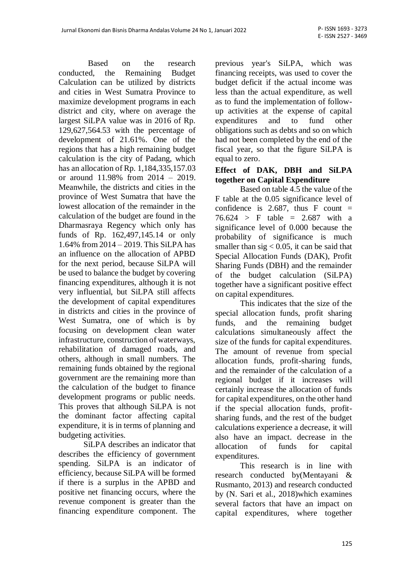Based on the research conducted, the Remaining Budget Calculation can be utilized by districts and cities in West Sumatra Province to maximize development programs in each district and city, where on average the largest SiLPA value was in 2016 of Rp. 129,627,564.53 with the percentage of development of 21.61%. One of the regions that has a high remaining budget calculation is the city of Padang, which has an allocation of Rp. 1,184,335,157.03 or around 11.98% from 2014 – 2019. Meanwhile, the districts and cities in the province of West Sumatra that have the lowest allocation of the remainder in the calculation of the budget are found in the Dharmasraya Regency which only has funds of Rp. 162,497,145.14 or only 1.64% from 2014 – 2019. This SiLPA has an influence on the allocation of APBD for the next period, because SiLPA will be used to balance the budget by covering financing expenditures, although it is not very influential, but SiLPA still affects the development of capital expenditures in districts and cities in the province of West Sumatra, one of which is by focusing on development clean water infrastructure, construction of waterways, rehabilitation of damaged roads, and others, although in small numbers. The remaining funds obtained by the regional government are the remaining more than the calculation of the budget to finance development programs or public needs. This proves that although SiLPA is not the dominant factor affecting capital expenditure, it is in terms of planning and budgeting activities.

SiLPA describes an indicator that describes the efficiency of government spending. SiLPA is an indicator of efficiency, because SiLPA will be formed if there is a surplus in the APBD and positive net financing occurs, where the revenue component is greater than the financing expenditure component. The previous year's SiLPA, which was financing receipts, was used to cover the budget deficit if the actual income was less than the actual expenditure, as well as to fund the implementation of followup activities at the expense of capital expenditures and to fund other obligations such as debts and so on which had not been completed by the end of the fiscal year, so that the figure SiLPA is equal to zero.

### **Effect of DAK, DBH and SiLPA together on Capital Expenditure**

Based on table 4.5 the value of the F table at the 0.05 significance level of confidence is 2.687, thus F count  $=$  $76.624 > F$  table = 2.687 with a significance level of 0.000 because the probability of significance is much smaller than sig  $< 0.05$ , it can be said that Special Allocation Funds (DAK), Profit Sharing Funds (DBH) and the remainder of the budget calculation (SiLPA) together have a significant positive effect on capital expenditures.

This indicates that the size of the special allocation funds, profit sharing funds, and the remaining budget calculations simultaneously affect the size of the funds for capital expenditures. The amount of revenue from special allocation funds, profit-sharing funds, and the remainder of the calculation of a regional budget if it increases will certainly increase the allocation of funds for capital expenditures, on the other hand if the special allocation funds, profitsharing funds, and the rest of the budget calculations experience a decrease, it will also have an impact. decrease in the allocation of funds for capital expenditures.

This research is in line with research conducted by(Mentayani & Rusmanto, 2013) and research conducted by (N. Sari et al., 2018)which examines several factors that have an impact on capital expenditures, where together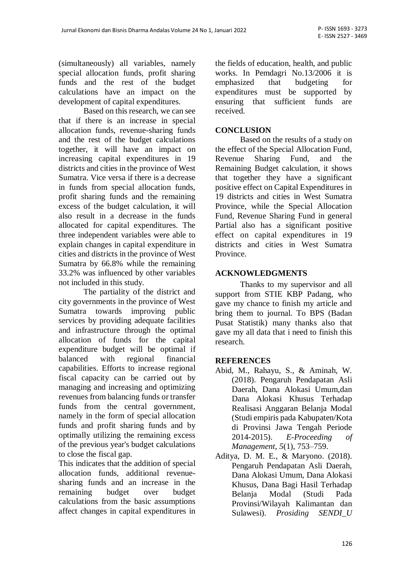(simultaneously) all variables, namely special allocation funds, profit sharing funds and the rest of the budget calculations have an impact on the development of capital expenditures.

Based on this research, we can see that if there is an increase in special allocation funds, revenue-sharing funds and the rest of the budget calculations together, it will have an impact on increasing capital expenditures in 19 districts and cities in the province of West Sumatra. Vice versa if there is a decrease in funds from special allocation funds, profit sharing funds and the remaining excess of the budget calculation, it will also result in a decrease in the funds allocated for capital expenditures. The three independent variables were able to explain changes in capital expenditure in cities and districts in the province of West Sumatra by 66.8% while the remaining 33.2% was influenced by other variables not included in this study.

The partiality of the district and city governments in the province of West Sumatra towards improving public services by providing adequate facilities and infrastructure through the optimal allocation of funds for the capital expenditure budget will be optimal if balanced with regional financial capabilities. Efforts to increase regional fiscal capacity can be carried out by managing and increasing and optimizing revenues from balancing funds or transfer funds from the central government, namely in the form of special allocation funds and profit sharing funds and by optimally utilizing the remaining excess of the previous year's budget calculations to close the fiscal gap.

This indicates that the addition of special allocation funds, additional revenuesharing funds and an increase in the remaining budget over budget calculations from the basic assumptions affect changes in capital expenditures in the fields of education, health, and public works. In Pemdagri No.13/2006 it is emphasized that budgeting for expenditures must be supported by ensuring that sufficient funds are received.

#### **CONCLUSION**

Based on the results of a study on the effect of the Special Allocation Fund, Revenue Sharing Fund, and the Remaining Budget calculation, it shows that together they have a significant positive effect on Capital Expenditures in 19 districts and cities in West Sumatra Province, while the Special Allocation Fund, Revenue Sharing Fund in general Partial also has a significant positive effect on capital expenditures in 19 districts and cities in West Sumatra Province.

#### **ACKNOWLEDGMENTS**

Thanks to my supervisor and all support from STIE KBP Padang, who gave my chance to finish my article and bring them to journal. To BPS (Badan Pusat Statistik) many thanks also that gave my all data that i need to finish this research.

#### **REFERENCES**

- Abid, M., Rahayu, S., & Aminah, W. (2018). Pengaruh Pendapatan Asli Daerah, Dana Alokasi Umum,dan Dana Alokasi Khusus Terhadap Realisasi Anggaran Belanja Modal (Studi empiris pada Kabupaten/Kota di Provinsi Jawa Tengah Periode 2014-2015). *E-Proceeding of Management*, *5*(1), 753–759.
- Aditya, D. M. E., & Maryono. (2018). Pengaruh Pendapatan Asli Daerah, Dana Alokasi Umum, Dana Alokasi Khusus, Dana Bagi Hasil Terhadap Belanja Modal (Studi Pada Provinsi/Wilayah Kalimantan dan Sulawesi). *Prosiding SENDI\_U*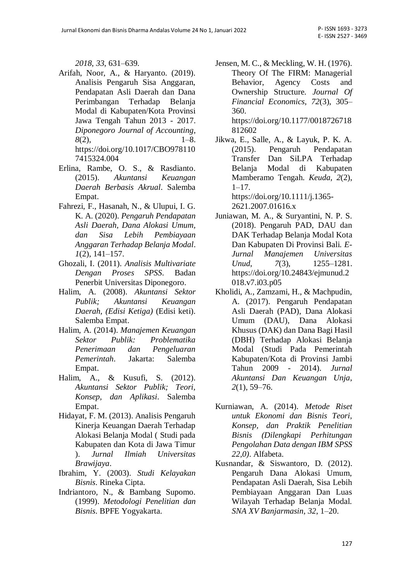*2018*, *33*, 631–639.

- Arifah, Noor, A., & Haryanto. (2019). Analisis Pengaruh Sisa Anggaran, Pendapatan Asli Daerah dan Dana Perimbangan Terhadap Belanja Modal di Kabupaten/Kota Provinsi Jawa Tengah Tahun 2013 - 2017. *Diponegoro Journal of Accounting*,  $8(2)$ ,  $1-8$ . https://doi.org/10.1017/CBO978110 7415324.004
- Erlina, Rambe, O. S., & Rasdianto. (2015). *Akuntansi Keuangan Daerah Berbasis Akrual*. Salemba Empat.
- Fahrezi, F., Hasanah, N., & Ulupui, I. G. K. A. (2020). *Pengaruh Pendapatan Asli Daerah, Dana Alokasi Umum, dan Sisa Lebih Pembiayaan Anggaran Terhadap Belanja Modal*. *1*(2), 141–157.
- Ghozali, I. (2011). *Analisis Multivariate Dengan Proses SPSS*. Badan Penerbit Universitas Diponegoro.
- Halim, A. (2008). *Akuntansi Sektor Publik; Akuntansi Keuangan Daerah, (Edisi Ketiga)* (Edisi keti). Salemba Empat.
- Halim, A. (2014). *Manajemen Keuangan Sektor Publik: Problematika Penerimaan dan Pengeluaran Pemerintah*. Jakarta: Salemba Empat.
- Halim, A., & Kusufi, S. (2012). *Akuntansi Sektor Publik; Teori, Konsep, dan Aplikasi*. Salemba Empat.
- Hidayat, F. M. (2013). Analisis Pengaruh Kinerja Keuangan Daerah Terhadap Alokasi Belanja Modal ( Studi pada Kabupaten dan Kota di Jawa Timur ). *Jurnal Ilmiah Universitas Brawijaya*.
- Ibrahim, Y. (2003). *Studi Kelayakan Bisnis*. Rineka Cipta.
- Indriantoro, N., & Bambang Supomo. (1999). *Metodologi Penelitian dan Bisnis*. BPFE Yogyakarta.
- Jensen, M. C., & Meckling, W. H. (1976). Theory Of The FIRM: Managerial Behavior, Agency Costs and Ownership Structure. *Journal Of Financial Economics*, *72*(3), 305– 360. https://doi.org/10.1177/0018726718 812602
- Jikwa, E., Salle, A., & Layuk, P. K. A. (2015). Pengaruh Pendapatan Transfer Dan SiLPA Terhadap Belanja Modal di Kabupaten Mamberamo Tengah. *Keuda*, *2*(2),  $1-17.$ https://doi.org/10.1111/j.1365-

2621.2007.01616.x

- Juniawan, M. A., & Suryantini, N. P. S. (2018). Pengaruh PAD, DAU dan DAK Terhadap Belanja Modal Kota Dan Kabupaten Di Provinsi Bali. *E-Jurnal Manajemen Universitas Unud*, *7*(3), 1255–1281. https://doi.org/10.24843/ejmunud.2 018.v7.i03.p05
- Kholidi, A., Zamzami, H., & Machpudin, A. (2017). Pengaruh Pendapatan Asli Daerah (PAD), Dana Alokasi Umum (DAU), Dana Alokasi Khusus (DAK) dan Dana Bagi Hasil (DBH) Terhadap Alokasi Belanja Modal (Studi Pada Pemerintah Kabupaten/Kota di Provinsi Jambi Tahun 2009 - 2014). *Jurnal Akuntansi Dan Keuangan Unja*, *2*(1), 59–76.
- Kurniawan, A. (2014). *Metode Riset untuk Ekonomi dan Bisnis Teori, Konsep, dan Praktik Penelitian Bisnis (Dilengkapi Perhitungan Pengolahan Data dengan IBM SPSS 22,0)*. Alfabeta.
- Kusnandar, & Siswantoro, D. (2012). Pengaruh Dana Alokasi Umum, Pendapatan Asli Daerah, Sisa Lebih Pembiayaan Anggaran Dan Luas Wilayah Terhadap Belanja Modal. *SNA XV Banjarmasin*, *32*, 1–20.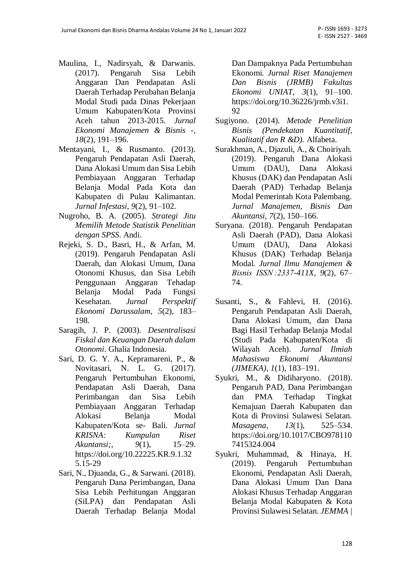- Maulina, I., Nadirsyah, & Darwanis. (2017). Pengaruh Sisa Lebih Anggaran Dan Pendapatan Asli Daerah Terhadap Perubahan Belanja Modal Studi pada Dinas Pekerjaan Umum Kabupaten/Kota Provinsi Aceh tahun 2013-2015. *Jurnal Ekonomi Manajemen & Bisnis -*, *18*(2), 191–196.
- Mentayani, I., & Rusmanto. (2013). Pengaruh Pendapatan Asli Daerah, Dana Alokasi Umum dan Sisa Lebih Pembiayaan Anggaran Terhadap Belanja Modal Pada Kota dan Kabupaten di Pulau Kalimantan. *Jurnal Infestasi*, *9*(2), 91–102.
- Nugroho, B. A. (2005). *Strategi Jitu Memilih Metode Statistik Penelitian dengan SPSS*. Andi.
- Rejeki, S. D., Basri, H., & Arfan, M. (2019). Pengaruh Pendapatan Asli Daerah, dan Alokasi Umum, Dana Otonomi Khusus, dan Sisa Lebih Penggunaan Anggaran Tehadap Belanja Modal Pada Fungsi Kesehatan. *Jurnal Perspektif Ekonomi Darussalam*, *5*(2), 183– 198.
- Saragih, J. P. (2003). *Desentralisasi Fiskal dan Keuangan Daerah dalam Otonomi*. Ghalia Indonesia.
- Sari, D. G. Y. A., Kepramareni, P., & Novitasari, N. L. G. (2017). Pengaruh Pertumbuhan Ekonomi, Pendapatan Asli Daerah, Dana Perimbangan dan Sisa Lebih Pembiayaan Anggaran Terhadap Alokasi Belanja Modal Kabupaten/Kota se- Bali. *Jurnal KRISNA: Kumpulan Riset Akuntansi;*, *9*(1), 15–29. https://doi.org/10.22225.KR.9.1.32 5.15-29
- Sari, N., Djuanda, G., & Sarwani. (2018). Pengaruh Dana Perimbangan, Dana Sisa Lebih Perhitungan Anggaran (SiLPA) dan Pendapatan Asli Daerah Terhadap Belanja Modal

Dan Dampaknya Pada Pertumbuhan Ekonomi. *Jurnal Riset Manajemen Dan Bisnis (JRMB) Fakultas Ekonomi UNIAT*, *3*(1), 91–100. https://doi.org/10.36226/jrmb.v3i1. 92

- Sugiyono. (2014). *Metode Penelitian Bisnis (Pendekatan Kuantitatif, Kualitatif dan R &D).* Alfabeta.
- Surakhman, A., Djazuli, A., & Choiriyah. (2019). Pengaruh Dana Alokasi Umum (DAU), Dana Alokasi Khusus (DAK) dan Pendapatan Asli Daerah (PAD) Terhadap Belanja Modal Pemerintah Kota Palembang. *Jurnal Manajemen, Bisnis Dan Akuntansi*, *7*(2), 150–166.
- Suryana. (2018). Pengaruh Pendapatan Asli Daerah (PAD), Dana Alokasi Umum (DAU), Dana Alokasi Khusus (DAK) Terhadap Belanja Modal. *Jurnal Ilmu Manajemen & Bisnis ISSN :2337-411X*, *9*(2), 67– 74.
- Susanti, S., & Fahlevi, H. (2016). Pengaruh Pendapatan Asli Daerah, Dana Alokasi Umum, dan Dana Bagi Hasil Terhadap Belanja Modal (Studi Pada Kabupaten/Kota di Wilayah Aceh). *Jurnal Ilmiah Mahasiswa Ekonomi Akuntansi (JIMEKA)*, *1*(1), 183–191.
- Syukri, M., & Didiharyono. (2018). Pengaruh PAD, Dana Perimbangan dan PMA Terhadap Tingkat Kemajuan Daerah Kabupaten dan Kota di Provinsi Sulawesi Selatan. *Masagena*, *13*(1), 525–534. https://doi.org/10.1017/CBO978110 7415324.004
- Syukri, Muhammad, & Hinaya, H. (2019). Pengaruh Pertumbuhan Ekonomi, Pendapatan Asli Daerah, Dana Alokasi Umum Dan Dana Alokasi Khusus Terhadap Anggaran Belanja Modal Kabupaten & Kota Provinsi Sulawesi Selatan. *JEMMA |*